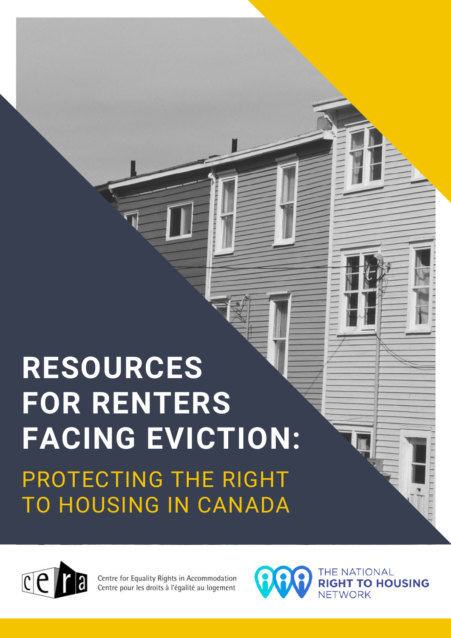# **RESOURCES FOR RENTERS FACING EVICTION:** PROTECTING THE RIGHT TO HOUSING IN CANADA



Centre for Equality Rights in Accommodation Centre pour les droits à l'égalité au logement

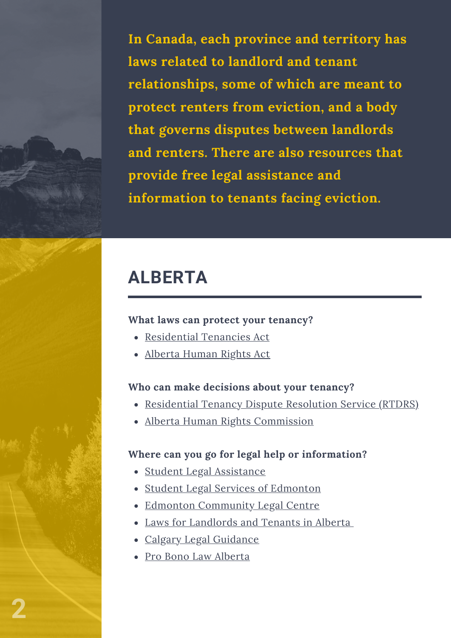**In Canada, each province and territory has laws related to landlord and tenant relationships, some of which are meant to protect renters from eviction, and a body that governs disputes between landlords and renters. There are also resources that provide free legal assistance and information to tenants facing eviction.**

### **ALBERTA**

#### **What laws can protect your tenancy?**

- [Residential](https://www.alberta.ca/residential-tenancies-act-handbook-and-reference-guide.aspx) Tenancies Act
- [Alberta](https://www.qp.alberta.ca/documents/Acts/A25P5.pdf) Human Rights Act

#### **Who can make decisions about your tenancy?**

- [Residential](https://www.alberta.ca/residential-tenancy-dispute-resolution-service.aspx) Tenancy Dispute Resolution Service (RTDRS)
- Alberta Human Rights [Commission](https://www.albertahumanrights.ab.ca/)

- Student Legal [Assistance](http://slacalgary.com/)
- Student Legal Services of [Edmonton](https://www.slsedmonton.com/)
- Edmonton [Community](https://www.eclc.ca/) Legal Centre
- Laws for [Landlords](https://www.landlordandtenant.org/) and Tenants in Alberta
- Calgary Legal [Guidance](https://clg.ab.ca/)
- Pro Bono Law [Alberta](https://pbla.ca/)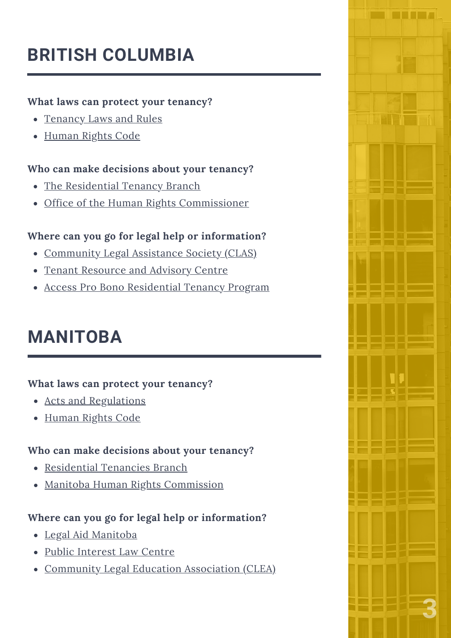# **BRITISH COLUMBIA**

### **What laws can protect your tenancy?**

- [Tenancy](https://www2.gov.bc.ca/gov/content/housing-tenancy/residential-tenancies/calculators-and-resources/the-law) Laws and Rules
- [Human](https://www.bclaws.gov.bc.ca/civix/document/id/complete/statreg/96210_01) Rights Code

### **Who can make decisions about your tenancy?**

- The [Residential](https://www2.gov.bc.ca/gov/content/housing-tenancy/residential-tenancies/contact-the-residential-tenancy-branch) Tenancy Branch
- Office of the Human Rights [Commissioner](https://bchumanrights.ca/)

### **Where can you go for legal help or information?**

- [Community](https://clasbc.net/) Legal Assistance Society (CLAS)
- Tenant [Resource](https://tenants.bc.ca/) and Advisory Centre
- Access Pro Bono [Residential](https://www.accessprobono.ca/our-programs/residential-tenancy-program) Tenancy Program

### **MANITOBA**

### **What laws can protect your tenancy?**

- Acts and [Regulations](https://www.gov.mb.ca/cca/rtb/ot/acts_regs.html)
- [Human](https://web2.gov.mb.ca/laws/statutes/ccsm/h175e.php) Rights Code

### **Who can make decisions about your tenancy?**

- [Residential](https://www.gov.mb.ca/cca/rtb/index.html) Tenancies Branch
- Manitoba Human Rights [Commission](http://www.manitobahumanrights.ca/v1/)

- Legal Aid [Manitoba](https://www.legalaid.mb.ca/)
- Public [Interest](https://www.legalaid.mb.ca/pilc/public-interest-law-centre/) Law Centre
- [Community](https://www.communitylegal.mb.ca/faqs/housing/) Legal Education Association (CLEA)

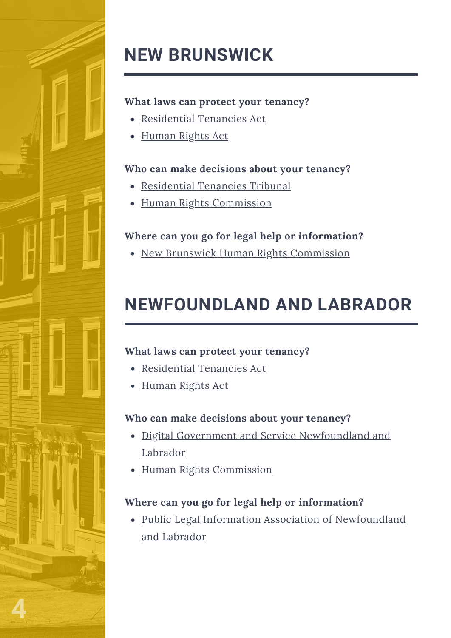

# **NEW BRUNSWICK**

### **What laws can protect your tenancy?**

- [Residential](http://laws.gnb.ca/en/showdoc/cs/r-10.2) Tenancies Act
- [Human](https://www2.gnb.ca/content/gnb/en/departments/nbhrc/human-rights-act/acts-and-regulations.html) Rights Act

### **Who can make decisions about your tenancy?**

- [Residential](https://www2.snb.ca/content/snb/en/sites/rent.html) Tenancies Tribunal
- Human Rights [Commission](https://www2.gnb.ca/content/gnb/en/departments/nbhrc/human-rights-act/act-explained.html#:~:text=The%20Human%20Rights%20Act%20of%20New%20Brunswick%2C%20which,in%20specified%20activities%20that%20fall%20under%20provincial%20jurisdiction.)

### **Where can you go for legal help or information?**

• New Brunswick Human Rights [Commission](https://www2.gnb.ca/content/gnb/en/departments/nbhrc.html)

### **NEWFOUNDLAND AND LABRADOR**

### **What laws can protect your tenancy?**

- [Residential](https://www.assembly.nl.ca/Legislation/sr/statutes/r14-2.htm) Tenancies Act
- [Human](https://assembly.nl.ca/Legislation/sr/statutes/h13-1.htm) Rights Act

### **Who can make decisions about your tenancy?**

- Digital Government and Service [Newfoundland](https://www.gov.nl.ca/dgsnl/landlord/) and Labrador
- Human Rights [Commission](https://thinkhumanrights.ca/education-and-resources/guidelines/guideline-on-rental-housing/)

### **Where can you go for legal help or information?**

• Public Legal Information Association of [Newfoundland](https://publiclegalinfo.com/tenants/) and Labrador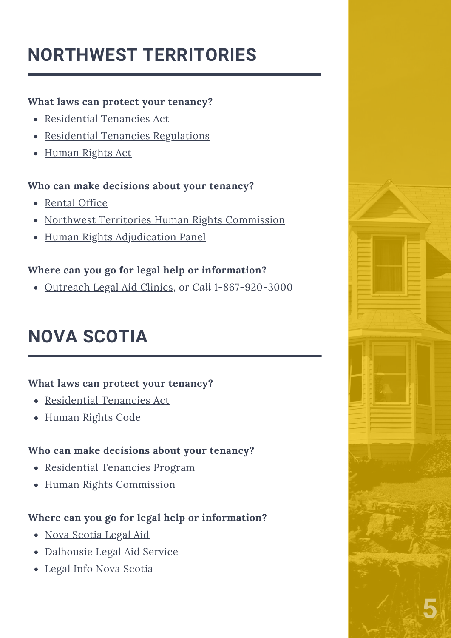# **NORTHWEST TERRITORIES**

### **What laws can protect your tenancy?**

- [Residential](https://www.justice.gov.nt.ca/en/files/legislation/residential-tenancies/residential-tenancies.a.pdf) Tenancies Act
- Residential Tenancies [Regulations](https://www.justice.gov.nt.ca/en/files/legislation/residential-tenancies/residential-tenancies.r1.pdf)
- [Human](https://nwthumanrights.ca/wp-content/uploads/2020/04/2020-HumanRightsAct.pdf) Rights Act

### **Who can make decisions about your tenancy?**

- [Rental](https://www.justice.gov.nt.ca/en/boards-agencies/rental-office/) Office
- Northwest Territories Human Rights [Commission](https://nwthumanrights.ca/resources/tenancy/)
- Human Rights [Adjudication](https://hrap.nt.ca/) Panel

### **Where can you go for legal help or information?**

[Outreach](https://www.justice.gov.nt.ca/en/outreach-legal-aid-clinics/) Legal Aid Clinics, [or](http://slacalgary.com/) *[Call](http://slacalgary.com/)* [1-867-920-3000](http://slacalgary.com/)

# **NOVA SCOTIA**

### **What laws can protect your tenancy?**

- [Residential](https://www.nslegislature.ca/sites/default/files/legc/statutes/residential%20tenancies.pdf) Tenancies Act
- [Human](https://nslegislature.ca/sites/default/files/legc/statutes/human%20rights.pdf) Rights Code

### **Who can make decisions about your tenancy?**

- [Residential](https://beta.novascotia.ca/programs-and-services/residential-tenancies-program) Tenancies Program
- Human Rights [Commission](https://humanrights.novascotia.ca/)

- Nova [Scotia](https://www.nslegalaid.ca/contact-us/) Legal Aid
- [Dalhousie](https://www.dal.ca/faculty/law/dlas.html) Legal Aid Service
- Legal Info Nova [Scotia](https://www.legalinfo.org/i-have-a-legal-question/housing-owning-renting-neighbours/#landlord-tenant-rules-residential-2)

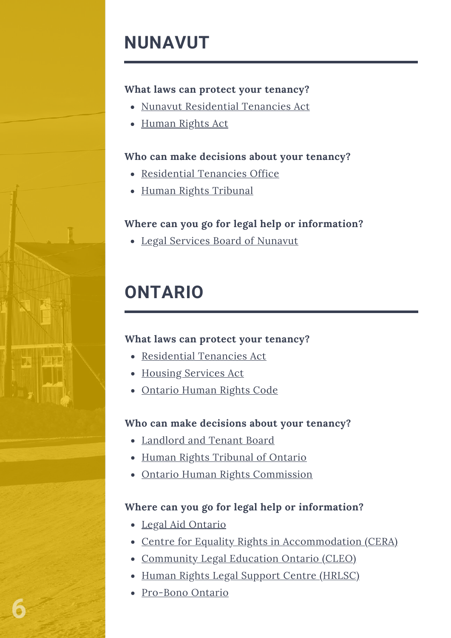### **NUNAVUT**

### **What laws can protect your tenancy?**

- Nunavut [Residential](https://www.nunavutlegislation.ca/en/consolidated-law/residential-tenancies-act-consolidation) Tenancies Act
- [Human](http://www.nhrt.ca/english/general_information) Rights Act

### **Who can make decisions about your tenancy?**

- [Residential](http://www.nu-rto.ca/) Tenancies Office
- Human Rights [Tribunal](http://www.nhrt.ca/english/tribunal_members_and_staff)

### **Where can you go for legal help or information?**

Legal Services Board of [Nunavut](https://nulas.ca/en/)

# **ONTARIO**

### **What laws can protect your tenancy?**

- [Residential](https://www.ontario.ca/laws/statute/06r17#BK255) Tenancies Act
- Housing [Services](https://www.ontario.ca/laws/statute/11h06) Act
- [Ontario](http://www.ohrc.on.ca/en/ontario-human-rights-code) Human Rights Code

### **Who can make decisions about your tenancy?**

- [Landlord](https://tribunalsontario.ca/ltb/) and Tenant Board
- Human Rights [Tribunal](http://www.ohrc.on.ca/en/social_areas/housing) of Ontario
- Ontario Human Rights [Commission](http://www.ohrc.on.ca/en)

### **Where can you go for legal help or information?**

- Legal Aid [Ontario](https://www.legalaid.on.ca/legal-clinics/)
- Centre for Equality Rights in [Accommodation](https://www.equalityrights.org/our-services) (CERA)
- [Community](https://www.cleo.on.ca/en) Legal Education Ontario (CLEO)
- Human Rights Legal Support Centre [\(HRLSC\)](https://www.hrlsc.on.ca/)
- [Pro-Bono](https://www.probonoontario.org/hotline/) Ontario

**6**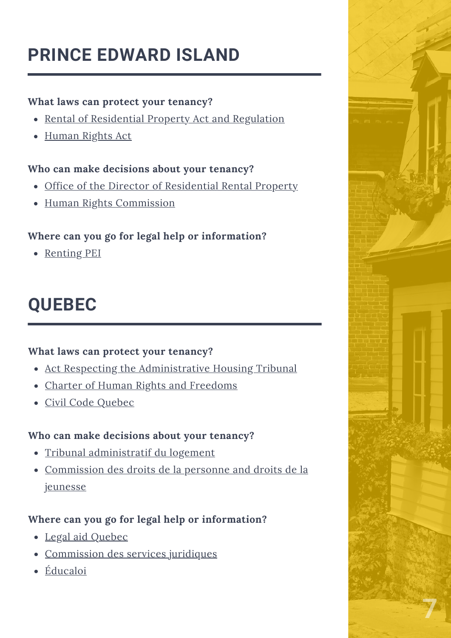# **PRINCE EDWARD ISLAND**

### **What laws can protect your tenancy?**

- Rental of [Residential](https://www.princeedwardisland.ca/sites/default/files/legislation/r-13-1-rental_of_residential_property_act.pdf) Property Act and Regulation
- [Human](https://www.princeedwardisland.ca/sites/default/files/legislation/H-12%20-Human%20Rights%20Act.pdf) Rights Act

### **Who can make decisions about your tenancy?**

- Office of the Director of [Residential](https://peirentaloffice.ca/) Rental Property
- Human Rights [Commission](https://www.peihumanrights.ca/)

### **Where can you go for legal help or information?**

• [Renting](https://www.rentingpei.ca/en/home) PEI

# **QUEBEC**

### **What laws can protect your [tenancy?](https://www.peihumanrights.ca/)**

- Act Respecting the [Administrative](http://legisquebec.gouv.qc.ca/en/document/cs/T-15.01?target=) Housing Tribunal
- Charter of Human Rights and [Freedoms](http://legisquebec.gouv.qc.ca/en/document/cs/c-12)
- Civil Code [Quebec](http://legisquebec.gouv.qc.ca/en/document/cs/ccq-1991)

### **Who can make [decisions](https://www.peihumanrights.ca/) about your tenancy?**

- Tribunal [administratif](https://www.tal.gouv.qc.ca/en) du logement
- [Commission](https://www.cdpdj.qc.ca/en) des droits de la personne and droits de la jeunesse

- Legal aid [Quebec](https://www.justice.gouv.qc.ca/en/programmes-et-services/services/laide-juridique/)
- [Commission](https://www.csj.qc.ca/commission-des-services-juridiques/accueil.aspx?lang=en) des services juridiques
- [Éducaloi](https://educaloi.qc.ca/)

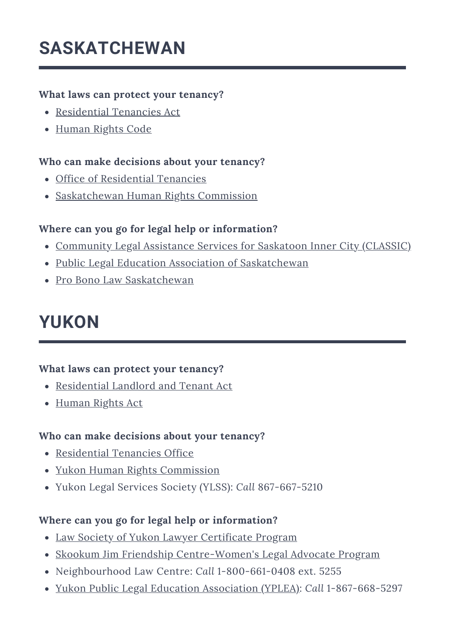### **SASKATCHEWAN**

### **What laws can protect your tenancy?**

- [Residential](http://www.publications.gov.sk.ca/details.cfm?p=23011) Tenancies Act
- [Human](https://saskatchewanhumanrights.ca/wp-content/uploads/2020/03/Code2018.pdf) Rights Code

### **Who can make decisions about your tenancy?**

- Office of [Residential](https://www.saskatchewan.ca/government/government-structure/boards-commissions-and-agencies/office-of-residential-tenancies) Tenancies
- [Saskatchewan](https://saskatchewanhumanrights.ca/) Human Rights Commission

### **Where can you go for legal help or information?**

- [Community](http://www.classiclaw.ca/what-we-do.html) Legal Assistance Services for Saskatoon Inner City (CLASSIC)
- Public Legal Education Association of [Saskatchewan](https://www.plea.org/)
- Pro Bono Law [Saskatchewan](https://pblsask.ca/)

### **YUKON**

### **What laws can protect your tenancy?**

- [Residential](https://legislation.yukon.ca/acts/rlta_c.pdf) Landlord and Tenant Act
- [Human](https://legislation.yukon.ca/acts/huri.pdf) Rights Act

#### **Who can make decisions about your tenancy?**

- [Residential](https://yukon.ca/en/places/residential-tenancies-office) Tenancies Office
- Yukon Human Rights [Commission](https://yukonhumanrights.ca/)
- Yukon Legal Services Society (YLSS): *Call* 867-667-5210

- Law Society of Yukon Lawyer [Certificate](https://lawsocietyyukon.com/for-the-public/meet-with-a-lawyer-certificate-program/#:~:text=Meet%20With%20a%20Lawyer%20Certificate%20Program%20This%20is,a%20Lawyer%20Certificate%20does%20not%20entitle%20you%20to%3A) Program
- Skookum Jim Friendship [Centre-Women's](https://skookumjim.com/programs/womens-legal-advocate/) Legal Advocate Program
- Neighbourhood Law Centre: *Call* 1-800-661-0408 ext. 5255
- Yukon Public Legal Education [Association](http://yplea.com/) (YPLEA): *Call* 1-867-668-5297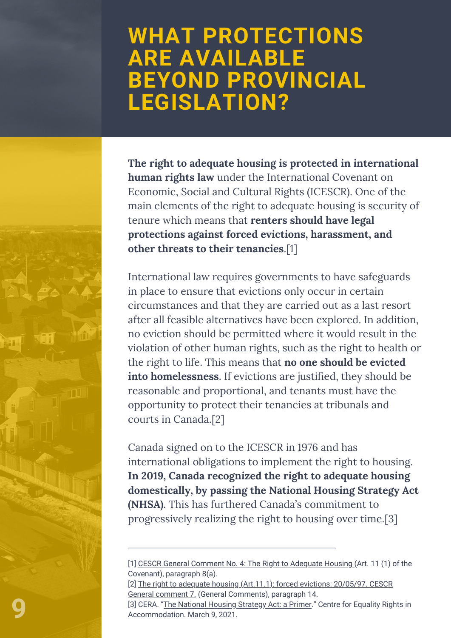# **WHAT PROTECTIONS ARE AVAILABLE BEYOND PROVINCIAL LEGISLATION?**

**The right to adequate housing is protected in international human rights law** under the International Covenant on Economic, Social and Cultural Rights (ICESCR). One of the main elements of the right to adequate housing is security of tenure which means that **renters should have legal protections against forced evictions, harassment, and other threats to their tenancies**.[1]

International law requires governments to have safeguards in place to ensure that evictions only occur in certain circumstances and that they are carried out as a last resort after all feasible alternatives have been explored. In addition, no eviction should be permitted where it would result in the violation of other human rights, such as the right to health or the right to life. This means that **no one should be evicted into homelessness**. If evictions are justified, they should be reasonable and proportional, and tenants must have the opportunity to protect their tenancies at tribunals and courts in Canada.[2]

Canada signed on to the ICESCR in 1976 and has international obligations to implement the right to housing. **In 2019, Canada recognized the right to adequate housing domestically, by passing the National Housing Strategy Act (NHSA)**. This has furthered Canada's commitment to progressively realizing the right to housing over time.[3]

<sup>[1]</sup> CESCR General [Comment](https://www.refworld.org/pdfid/47a7079a1.pdf) No. 4: The Right to Adequate Housing (Art. 11 (1) of the Covenant), paragraph 8(a).

<sup>[2]</sup> The right to adequate housing (Art.11.1): forced evictions: 20/05/97. CESCR General comment 7. (General [Comments\),](https://www.refworld.org/pdfid/47a70799d.pdf) paragraph 14.

<sup>[3]</sup> CERA. "The [National](https://www.equalityrights.org/resources/national-housing-strategy-act-primer) Housing Strategy Act: a Primer." Centre for Equality Rights in Accommodation. March 9, 2021.